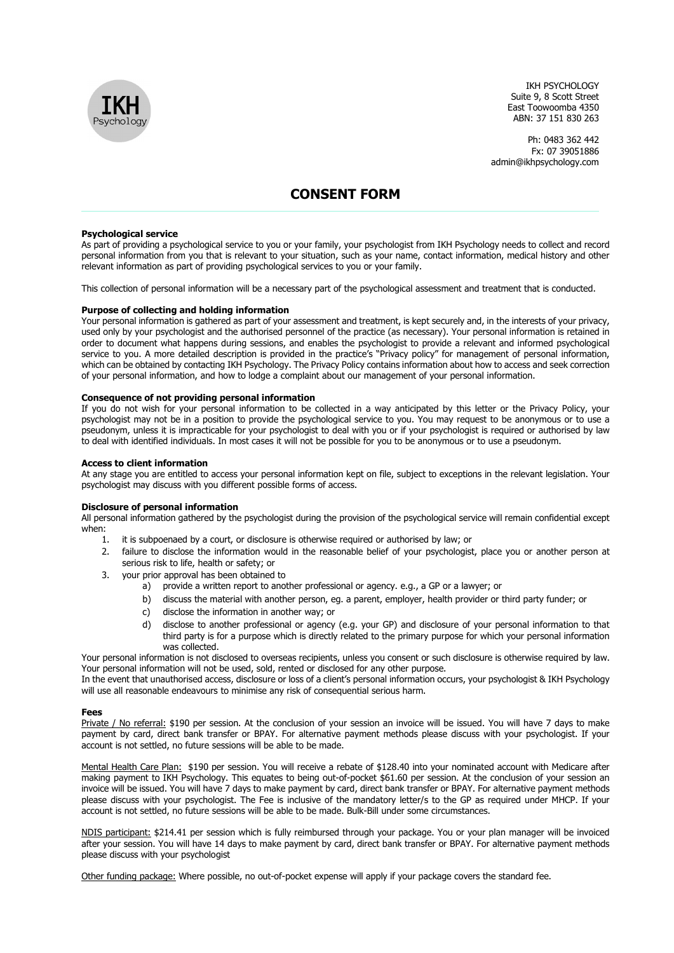

IKH PSYCHOLOGY Suite 9, 8 Scott Street East Toowoomba 4350 ABN: 37 151 830 263

Ph: 0483 362 442 Fx: 07 39051886 admin@ikhpsychology.com

# CONSENT FORM

# Psychological service

As part of providing a psychological service to you or your family, your psychologist from IKH Psychology needs to collect and record personal information from you that is relevant to your situation, such as your name, contact information, medical history and other relevant information as part of providing psychological services to you or your family.

This collection of personal information will be a necessary part of the psychological assessment and treatment that is conducted.

#### Purpose of collecting and holding information

Your personal information is gathered as part of your assessment and treatment, is kept securely and, in the interests of your privacy, used only by your psychologist and the authorised personnel of the practice (as necessary). Your personal information is retained in order to document what happens during sessions, and enables the psychologist to provide a relevant and informed psychological service to you. A more detailed description is provided in the practice's "Privacy policy" for management of personal information, which can be obtained by contacting IKH Psychology. The Privacy Policy contains information about how to access and seek correction of your personal information, and how to lodge a complaint about our management of your personal information.

## Consequence of not providing personal information

If you do not wish for your personal information to be collected in a way anticipated by this letter or the Privacy Policy, your psychologist may not be in a position to provide the psychological service to you. You may request to be anonymous or to use a pseudonym, unless it is impracticable for your psychologist to deal with you or if your psychologist is required or authorised by law to deal with identified individuals. In most cases it will not be possible for you to be anonymous or to use a pseudonym.

# Access to client information

At any stage you are entitled to access your personal information kept on file, subject to exceptions in the relevant legislation. Your psychologist may discuss with you different possible forms of access.

# Disclosure of personal information

All personal information gathered by the psychologist during the provision of the psychological service will remain confidential except when:

- 1. it is subpoenaed by a court, or disclosure is otherwise required or authorised by law; or
- 2. failure to disclose the information would in the reasonable belief of your psychologist, place you or another person at serious risk to life, health or safety; or
- 3. your prior approval has been obtained to
	- a) provide a written report to another professional or agency. e.g., a GP or a lawyer; or
	- b) discuss the material with another person, eg. a parent, employer, health provider or third party funder; or
	- c) disclose the information in another way; or
	- d) disclose to another professional or agency (e.g. your GP) and disclosure of your personal information to that third party is for a purpose which is directly related to the primary purpose for which your personal information was collected.

Your personal information is not disclosed to overseas recipients, unless you consent or such disclosure is otherwise required by law. Your personal information will not be used, sold, rented or disclosed for any other purpose.

In the event that unauthorised access, disclosure or loss of a client's personal information occurs, your psychologist & IKH Psychology will use all reasonable endeavours to minimise any risk of consequential serious harm.

# Fees

Private / No referral: \$190 per session. At the conclusion of your session an invoice will be issued. You will have 7 days to make payment by card, direct bank transfer or BPAY. For alternative payment methods please discuss with your psychologist. If your account is not settled, no future sessions will be able to be made.

Mental Health Care Plan: \$190 per session. You will receive a rebate of \$128.40 into your nominated account with Medicare after making payment to IKH Psychology. This equates to being out-of-pocket \$61.60 per session. At the conclusion of your session an invoice will be issued. You will have 7 days to make payment by card, direct bank transfer or BPAY. For alternative payment methods please discuss with your psychologist. The Fee is inclusive of the mandatory letter/s to the GP as required under MHCP. If your account is not settled, no future sessions will be able to be made. Bulk-Bill under some circumstances.

NDIS participant: \$214.41 per session which is fully reimbursed through your package. You or your plan manager will be invoiced after your session. You will have 14 days to make payment by card, direct bank transfer or BPAY. For alternative payment methods please discuss with your psychologist

Other funding package: Where possible, no out-of-pocket expense will apply if your package covers the standard fee.